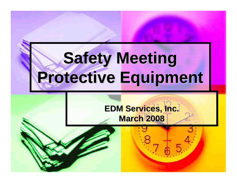# **Safety Meeting Safety Meeting Protective Equipment Protective Equipment**

### **EDM Services, Inc. EDM Services, Inc. March 2008 March 2008**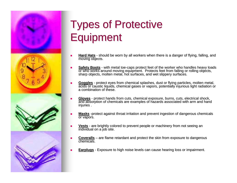

## **Types of Protective Equipment**

- п Hard Hats - should be worn by all workers when there is a danger of flying, falling, and moving objects.
- ш **Safety Boots** - with metal toe-caps protect feet of the worker who handles heavy loads or who works around moving equipment. Protects feet from falling or rolling objects, sharp objects, molten metal, hot surfaces, and wet slippery surfaces.
- п Goggles - protect eyes from chemical splashes, dust or flying particles, molten metal, acids or caustic liquids, chemical gases or vapors, potentially injurious light radiation or a combination of these.
- ш Gloves - protect hands from cuts, chemical exposure, burns, cuts, electrical shock, and absorption of chemicals are examples of hazards associated with arm and hand injuries.
- $\blacksquare$ **Masks** -protect against throat irritation and prevent ingestion of dangerous chemicals or vapors.
- п **Vests** - are brightly colored to prevent people or machinery from not seeing an individual on a job site.
- **Coveralls** are flame retardant and protect the skin from exposure to dangerous<br>chemicals. chemicals.
- п **Earplugs** - Exposure to high noise levels can cause hearing loss or impairment.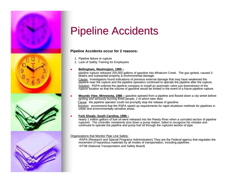

### **Pipeline Accidents**

#### **Pipeline Accidents occur for 2 reasons: Pipeline Accidents occur for 2 reasons:**

1. Pipeline failure or rupture

⊔

2. Lack of Safety Training for Employees

#### <u>■ Bellingham, Washington, 1999 –</u>

pipeline rupture released 250,000 gallons of gasoline into Whatcom Creek. The gas ignited, caused 3 deaths and substantial property & environmental damage.

Cause: Investigators found indications of previous external damage that may have weakened the pipeline near the rupture and the pipeline operators continued to operate the pipeline after the rupture. Solution: RSPA ordered the pipeline company to install an automatic valve just downstream of the rupture location so that the volume of gasoline would be limited in the event of a future pipeline rupture. the event of a future pipeline rupture.

■ Mounds View, Minnesota, 1986 – gasoline spewed from a pipeline and flowed down a city street before<br>igniting and seriously burning three people, 2 of which later died. Cause: the pipeline operator could not promptly stop the release of gasoline. Solution: recommend that the RSPA speed up requirements for rapid shutdown methods for pipelines in urban and environmentally sensitive areas.

#### <u>■ Fork Shoals, South Carolina, 1996 –</u>

nearly 1 million gallons of fuel oil were released into the Reedy River when a corroded section of pipeline ruptured. The controller mistakenly shut down a pump station, failed to recognize his mistake and continued to operate the pipeline and pump fuel oil through the ruptured section of pipe.

#### Organizations that Monitor Pipe Line Safety:

-RSPA (Research and Special Programs Administration) They are the Federal agency that regulates the movement of hazardous materials by all modes of transportation, including pipelines. -NTSB (National Transportation and Safety Board)